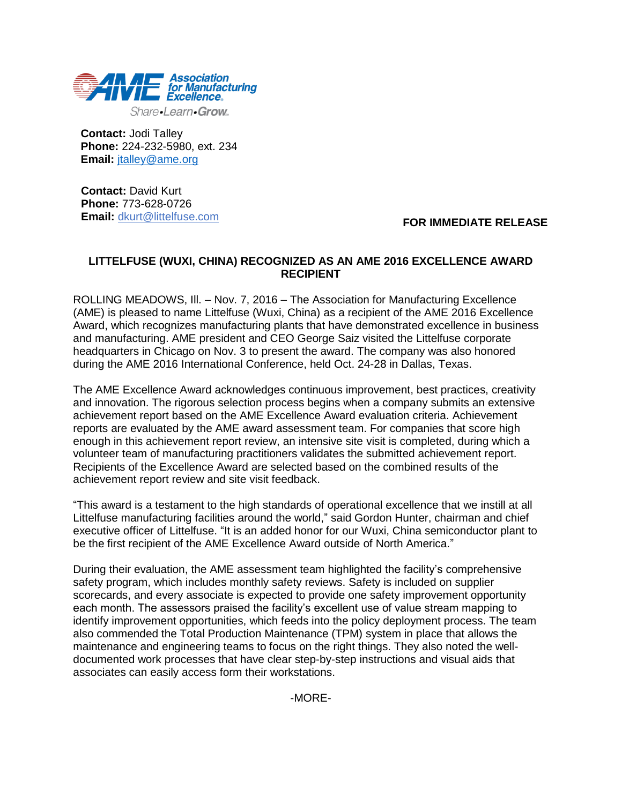

**Contact:** Jodi Talley **Phone:** 224-232-5980, ext. 234 **Email:** [jtalley@ame.org](mailto:jtalley@ame.org)

**Contact:** David Kurt **Phone:** 773-628-0726 **Email:** [dkurt@littelfuse.com](mailto:dkurt@littelfuse.com)

## **FOR IMMEDIATE RELEASE**

# **LITTELFUSE (WUXI, CHINA) RECOGNIZED AS AN AME 2016 EXCELLENCE AWARD RECIPIENT**

ROLLING MEADOWS, Ill. – Nov. 7, 2016 – The Association for Manufacturing Excellence (AME) is pleased to name Littelfuse (Wuxi, China) as a recipient of the AME 2016 Excellence Award, which recognizes manufacturing plants that have demonstrated excellence in business and manufacturing. AME president and CEO George Saiz visited the Littelfuse corporate headquarters in Chicago on Nov. 3 to present the award. The company was also honored during the AME 2016 International Conference, held Oct. 24-28 in Dallas, Texas.

The AME Excellence Award acknowledges continuous improvement, best practices, creativity and innovation. The rigorous selection process begins when a company submits an extensive achievement report based on the AME Excellence Award evaluation criteria. Achievement reports are evaluated by the AME award assessment team. For companies that score high enough in this achievement report review, an intensive site visit is completed, during which a volunteer team of manufacturing practitioners validates the submitted achievement report. Recipients of the Excellence Award are selected based on the combined results of the achievement report review and site visit feedback.

"This award is a testament to the high standards of operational excellence that we instill at all Littelfuse manufacturing facilities around the world," said Gordon Hunter, chairman and chief executive officer of Littelfuse. "It is an added honor for our Wuxi, China semiconductor plant to be the first recipient of the AME Excellence Award outside of North America."

During their evaluation, the AME assessment team highlighted the facility's comprehensive safety program, which includes monthly safety reviews. Safety is included on supplier scorecards, and every associate is expected to provide one safety improvement opportunity each month. The assessors praised the facility's excellent use of value stream mapping to identify improvement opportunities, which feeds into the policy deployment process. The team also commended the Total Production Maintenance (TPM) system in place that allows the maintenance and engineering teams to focus on the right things. They also noted the welldocumented work processes that have clear step-by-step instructions and visual aids that associates can easily access form their workstations.